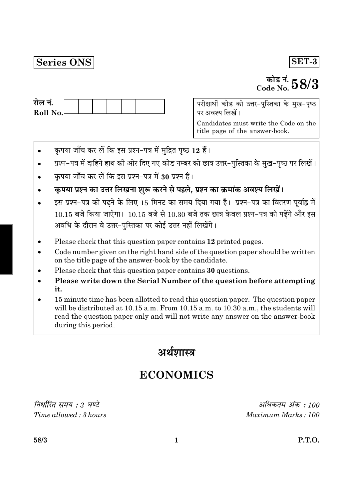## Series ONS

## SET-3

# कोड नं.  $58/3$

परीक्षार्थी कोड को उत्तर-पुस्तिका के मुख-पृष्ठ पर अवश्य लिखें। Candidates must write the Code on the

title page of the answer-book.

- कृपया जाँच कर लें कि इस प्रश्न-पत्र में मुद्रित पृष्ठ 12 हैं।
- प्रश्न-पत्र में दाहिने हाथ की ओर दिए गए कोड नम्बर को छात्र उत्तर-पुस्तिका के मुख-पृष्ठ पर लिखें।
- कृपया जाँच कर लें कि इस प्रश्न-पत्र में 30 प्रश्न हैं।
- कृपया प्रश्न का उत्तर लिखना शुरू करने से पहले, प्रश्न का क्रमांक अवश्य लिखें।
- इस प्रश्न-पत्र को पढ़ने के लिए 15 मिनट का समय दिया गया है। प्रश्न-पत्र का वितरण पूर्वाह्न में  $10.15$  बजे किया जाऐगा।  $10.15$  बजे से  $10.30$  बजे तक छात्र केवल प्रश्न-पत्र को पढ़ेंगे और इस अवधि के दौरान वे उत्तर-पस्तिका पर कोई उत्तर नहीं लिखेंगे।
- Please check that this question paper contains 12 printed pages.
- Code number given on the right hand side of the question paper should be written  $\bullet$ on the title page of the answer-book by the candidate.
- Please check that this question paper contains 30 questions.
- Please write down the Serial Number of the question before attempting it.
- 15 minute time has been allotted to read this question paper. The question paper will be distributed at 10.15 a.m. From 10.15 a.m. to 10.30 a.m., the students will read the question paper only and will not write any answer on the answer-book during this period.

अर्थशास्त्र

# **ECONOMICS**

निर्धारित समय : 3 घण्टे Time allowed: 3 hours

अधिकतम अंक : 100 Maximum Marks: 100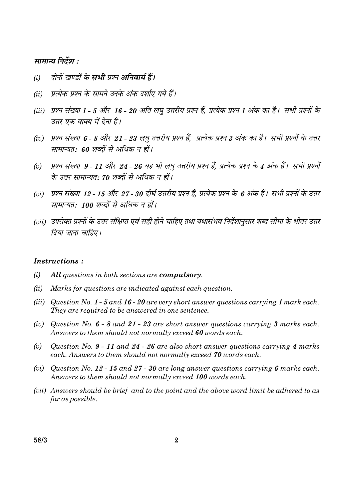#### सामान्य निर्देश :

- दोनों खण्डों के सभी प्रश्न अनिवार्य हैं।  $(i)$
- प्रत्येक प्रश्न के सामने उनके अंक दर्शाए गये हैं।  $(ii)$
- (iii) प्रश्न संख्या 1 5 और 16 20 अति लघु उत्तरीय प्रश्न हैं, प्रत्येक प्रश्न 1 अंक का है। सभी प्रश्नों के उत्तर एक वाक्य में देना है।
- (iv) प्रश्न संख्या 6 8 और 21 23 लघु उत्तरीय प्रश्न हैं, प्रत्येक प्रश्न 3 अंक का है। सभी प्रश्नों के उत्तर सामान्यत: 60 शब्दों से अधिक न हों।
- प्रश्न संख्या 9 11 और 24 26 यह भी लघु उत्तरीय प्रश्न हैं, प्रत्येक प्रश्न के 4 अंक हैं। सभी प्रश्नों  $(v)$ के उत्तर सामान्यत: 70 शब्दों से अधिक न हों।
- (vi) प्रश्न संख्या 12 15 और 27 30 दीर्घ उत्तरीय प्रश्न हैं. प्रत्येक प्रश्न के 6 अंक हैं। सभी प्रश्नों के उत्तर सामान्यत: 100 शब्दों से अधिक न हों।
- (vii) उपरोक्त प्रश्नों के उत्तर संक्षिप्त एवं सही होने चाहिए तथा यथासंभव निर्देशानुसार शब्द सीमा के भीतर उत्तर दिया जाना चाहिए।

#### *Instructions:*

- $(i)$ All questions in both sections are compulsory.
- Marks for questions are indicated against each question.  $(ii)$
- (iii) Question No. 1 5 and 16 20 are very short answer questions carrying 1 mark each. They are required to be answered in one sentence.
- (iv) Question No.  $6 8$  and  $21 23$  are short answer questions carrying 3 marks each. Answers to them should not normally exceed 60 words each.
- Question No.  $9 11$  and  $24 26$  are also short answer questions carrying 4 marks  $(v)$ each. Answers to them should not normally exceed 70 words each.
- (vi) Question No. 12 15 and 27 30 are long answer questions carrying 6 marks each. Answers to them should not normally exceed 100 words each.
- (vii) Answers should be brief and to the point and the above word limit be adhered to as far as possible.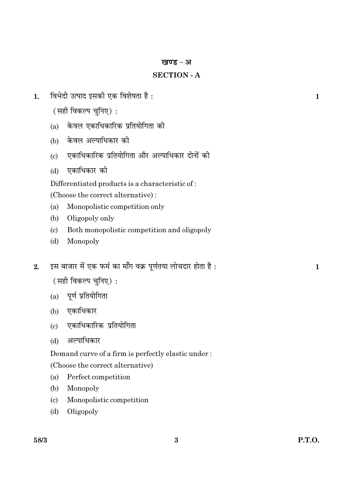#### खण्ड - अ

## **SECTION - A**

- विभेदी उत्पाद इसकी एक विशेषता है :  $\mathbf{1}$ .
	- (सही विकल्प चनिए):
	- (a) केवल एकाधिकारिक प्रतियोगिता की
	- (b) केवल अल्पाधिकार की
	- एकाधिकारिक प्रतियोगिता और अल्पाधिकार दोनों की  $(c)$
	- एकाधिकार की  $(d)$

Differentiated products is a characteristic of:

(Choose the correct alternative):

- $(a)$ Monopolistic competition only
- $(b)$ Oligopoly only
- $(c)$ Both monopolistic competition and oligopoly
- Monopoly  $(d)$
- इस बाजार में एक फर्म का माँग वक्र पूर्णतया लोचदार होता है:  $2.$

(सही विकल्प चुनिए):

- (a) पूर्ण प्रतियोगिता
- (b) एकाधिकार
- (c) एकाधिकारिक प्रतियोगिता
- $(d)$ अल्पाधिकार

Demand curve of a firm is perfectly elastic under:

(Choose the correct alternative)

- Perfect competition  $(a)$
- $(b)$ Monopoly
- $(c)$ Monopolistic competition
- $(d)$ Oligopoly

 $\mathbf{1}$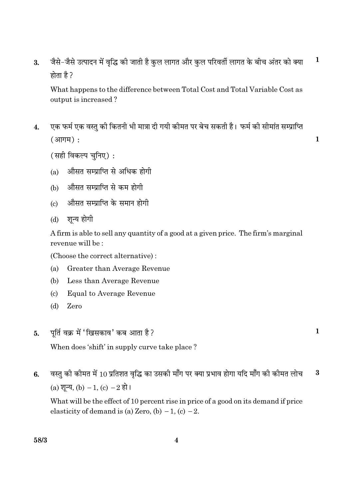जैसे-जैसे उत्पादन में वृद्धि की जाती है कुल लागत और कुल परिवर्ती लागत के बीच अंतर को क्या  $\mathbf{1}$  $\overline{3}$ . होता है ?

What happens to the difference between Total Cost and Total Variable Cost as output is increased?

एक फर्म एक वस्त की कितनी भी मात्रा दी गयी कीमत पर बेच सकती है। फर्म की सीमांत सम्प्राप्ति  $\overline{4}$ .  $(3\overline{1}\overline{1}\overline{1}\overline{1}\overline{1})$ :

(सही विकल्प चनिए):

- औसत सम्प्राप्ति से अधिक होगी  $(a)$
- (b) औसत सम्प्राप्ति से कम होगी
- औसत सम्प्राप्ति के समान होगी  $\left( \mathrm{c} \right)$
- (d) शुन्य होगी

A firm is able to sell any quantity of a good at a given price. The firm's marginal revenue will be:

(Choose the correct alternative):

- Greater than Average Revenue  $(a)$
- $(b)$ Less than Average Revenue
- $\left( \mathrm{c}\right)$ **Equal to Average Revenue**
- $(d)$ Zero
- पूर्ति वक्र में 'खिसकाव' कब आता है? 5.

When does 'shift' in supply curve take place?

वस्तु की कीमत में 10 प्रतिशत वृद्धि का उसकी माँग पर क्या प्रभाव होगा यदि माँग की कीमत लोच  $\bf{3}$ 6. (a) शुन्य, (b)  $-1$ , (c)  $-2$  हो।

What will be the effect of 10 percent rise in price of a good on its demand if price elasticity of demand is (a) Zero, (b)  $-1$ , (c)  $-2$ .

 $\mathbf{1}$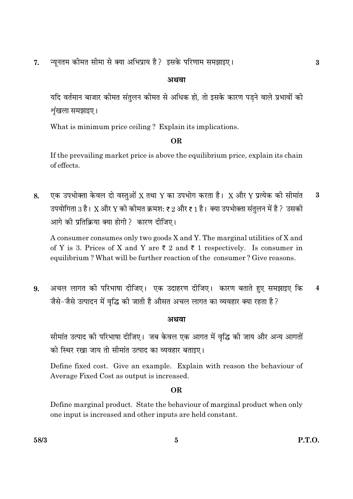न्यूनतम कीमत सीमा से क्या अभिप्राय है? इसके परिणाम समझाइए। 7.

## अथवा

यदि वर्तमान बाजार कीमत संतुलन कीमत से अधिक हो, तो इसके कारण पडने वाले प्रभावों की शृंखला समझाइए।

What is minimum price ceiling? Explain its implications.

## OR.

If the prevailing market price is above the equilibrium price, explain its chain of effects.

एक उपभोक्ता केवल दो वस्तुओं X तथा Y का उपभोग करता है। X और Y प्रत्येक की सीमांत  $\mathbf{a}$ 8. उपयोगिता 3 है। X और Y की कीमत क्रमश: ₹ 2 और ₹ 1 है। क्या उपभोक्ता संतुलन में है ? उसकी आगे की प्रतिक्रिया क्या होगी ? कारण दीजिए।

A consumer consumes only two goods X and Y. The marginal utilities of X and of Y is 3. Prices of X and Y are  $\overline{\zeta}$  2 and  $\overline{\zeta}$  1 respectively. Is consumer in equilibrium? What will be further reaction of the consumer? Give reasons.

अचल लागत की परिभाषा दीजिए। एक उदाहरण दीजिए। कारण बताते हुए समझाइए कि  $\overline{\mathbf{4}}$ 9. जैसे-जैसे उत्पादन में वृद्धि की जाती है औसत अचल लागत का व्यवहार क्या रहता है?

## अथवा

सीमांत उत्पाद की परिभाषा दीजिए। जब केवल एक आगत में वृद्धि की जाय और अन्य आगतों को स्थिर रखा जाय तो सीमांत उत्पाद का व्यवहार बताइए।

Define fixed cost. Give an example. Explain with reason the behaviour of Average Fixed Cost as output is increased.

## **OR**

Define marginal product. State the behaviour of marginal product when only one input is increased and other inputs are held constant.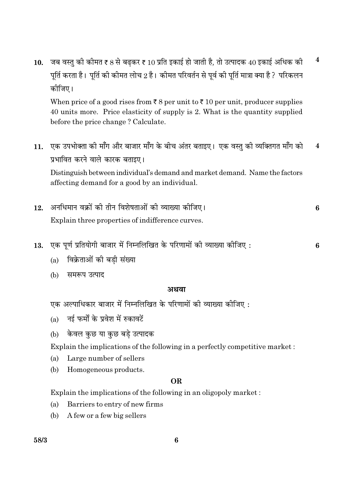10. जब वस्तु की कीमत ₹ 8 से बढकर ₹ 10 प्रति इकाई हो जाती है, तो उत्पादक 40 इकाई अधिक की  $\overline{\mathbf{4}}$ पूर्ति करता है। पूर्ति की कीमत लोच 2 है। कीमत परिवर्तन से पूर्व की पूर्ति मात्रा क्या है ? परिकलन कोजिए।

When price of a good rises from  $\bar{\tau}$  8 per unit to  $\bar{\tau}$  10 per unit, producer supplies 40 units more. Price elasticity of supply is 2. What is the quantity supplied before the price change? Calculate.

11. एक उपभोक्ता की माँग और बाजार माँग के बीच अंतर बताइए। एक वस्तु की व्यक्तिगत माँग को  $\overline{\mathbf{4}}$ प्रभावित करने वाले कारक बताइए।

Distinguish between individual's demand and market demand. Name the factors affecting demand for a good by an individual.

- अनधिमान वक्रों की तीन विशेषताओं की व्याख्या कीजिए।  $12<sub>1</sub>$ 6 Explain three properties of indifference curves.
- एक पूर्ण प्रतियोगी बाजार में निम्नलिखित के परिणामों की व्याख्या कीजिए: 13. 6
	- (a) विक्रेताओं की बड़ी संख्या
	- (b) समरूप उत्पाद

#### अथवा

एक अल्पाधिकार बाजार में निम्नलिखित के परिणामों की व्याख्या कीजिए :

- (a) नई फर्मों के प्रवेश में रुकावटें
- केवल कछ या कछ बडे उत्पादक  $(b)$

Explain the implications of the following in a perfectly competitive market:

- Large number of sellers (a)
- Homogeneous products. (b)

#### **OR**

Explain the implications of the following in an oligopoly market:

- (a) Barriers to entry of new firms
- $(b)$ A few or a few big sellers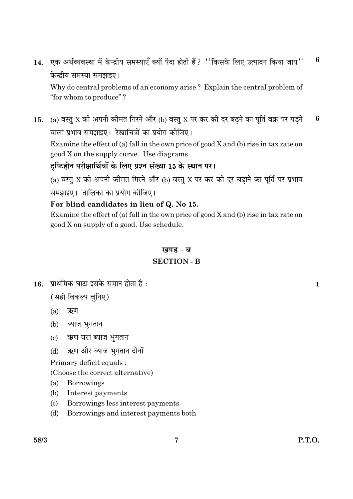एक अर्थव्यवस्था में केन्द्रीय समस्याएँ क्यों पैदा होती हैं ? ''किसके लिए उत्पादन किया जाय'' 6  $14.$ केन्द्रीय समस्या समझाइए।

Why do central problems of an economy arise? Explain the central problem of "for whom to produce"?

(a) वस्तु X की अपनी कीमत गिरने और (b) वस्तु X पर कर की दर बढ़ने का पूर्ति वक्र पर पड़ने 6 15. वाला प्रभाव समझाइए। रेखाचित्रों का प्रयोग कीजिए।

Examine the effect of (a) fall in the own price of good  $X$  and (b) rise in tax rate on good X on the supply curve. Use diagrams.

## दृष्टिहीन परीक्षार्थियों के लिए प्रश्न संख्या 15 के स्थान पर।

(a) वस्तु X की अपनी कीमत गिरने और (b) वस्तु X पर कर की दर बढ़ाने का पूर्ति पर प्रभाव समझाइए। तालिका का प्रयोग कीजिए।

## For blind candidates in lieu of Q. No 15.

Examine the effect of (a) fall in the own price of good  $X$  and (b) rise in tax rate on good X on supply of a good. Use schedule.

## खण्ड - ब

## **SECTION - B**

 $16.$  प्राथमिक घाटा इसके समान होता है:

(सही विकल्प चुनिए)

- $(a)$ ऋण
- (b) ब्याज भुगतान
- ऋण घटा ब्याज भुगतान  $(c)$
- ऋण और ब्याज भुगतान दोनों  $(d)$

Primary deficit equals:

(Choose the correct alternative)

- $(a)$ **Borrowings**
- $(b)$ Interest payments
- $(c)$ Borrowings less interest payments
- Borrowings and interest payments both  $(d)$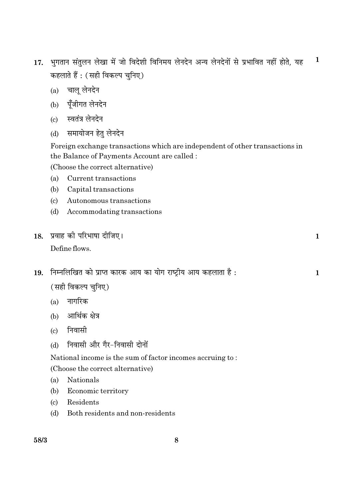- 17. भुगतान संतुलन लेखा में जो विदेशी विनिमय लेनदेन अन्य लेनदेनों से प्रभावित नहीं होते, यह  $\mathbf 1$ कहलाते हैं : (सही विकल्प चुनिए)
	- (a) चालू लेनदेन
	- (b) पूँजीगत लेनदेन
	- (c) स्वतंत्र लेनदेन
	- (d) समायोजन हेतु लेनदेन

Foreign exchange transactions which are independent of other transactions in the Balance of Payments Account are called :

(Choose the correct alternative)

- $(a)$ Current transactions
- $(b)$ Capital transactions
- $(c)$ Autonomous transactions
- (d) Accommodating transactions
- 18. प्रवाह की परिभाषा दीजिए। Define flows.
- 19. निम्नलिखित को प्राप्त कारक आय का योग राष्ट्रीय आय कहलाता है:

(सही विकल्प चुनिए)

- $(a)$  नागरिक
- (b) आर्थिक क्षेत्र
- $(c)$  निवासी
- निवासी और गैर-निवासी दोनों  $(d)$

National income is the sum of factor incomes accruing to:

(Choose the correct alternative)

- Nationals  $(a)$
- (b) Economic territory
- $\left( \mathrm{c} \right)$ Residents
- Both residents and non-residents  $(d)$

 $\mathbf{1}$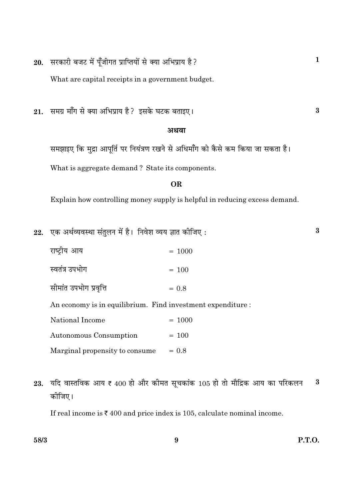सरकारी बजट में पुँजीगत प्राप्तियों से क्या अभिप्राय है? 20.

What are capital receipts in a government budget.

समग्र माँग से क्या अभिप्राय है? इसके घटक बताइए। 21.

#### अथवा

समझाइए कि मुद्रा आपूर्ति पर नियंत्रण रखने से अधिमाँग को कैसे कम किया जा सकता है। What is aggregate demand? State its components.

#### **OR**

Explain how controlling money supply is helpful in reducing excess demand.

22. एक अर्थव्यवस्था संतुलन में है। निवेश व्यय ज्ञात कीजिए:

| राष्ट्रीय आय           | $= 1000$                                                    |
|------------------------|-------------------------------------------------------------|
| स्वतंत्र उपभोग         | $= 100$                                                     |
| सीमांत उपभोग प्रवृत्ति | $= 0.8$                                                     |
|                        | An economy is in equilibrium. Find investment expenditure : |
| National Income        | $= 1000$                                                    |

- Autonomous Consumption  $= 100$ Marginal propensity to consume  $= 0.8$
- यदि वास्तविक आय ₹  $400$  हो और कीमत सूचकांक 105 हो तो मौद्रिक आय का परिकलन  $\bf{3}$ 23. कोजिए।

 $\boldsymbol{9}$ 

If real income is  $\bar{\tau}$  400 and price index is 105, calculate nominal income.

 $\bf{3}$ 

 $\bf{3}$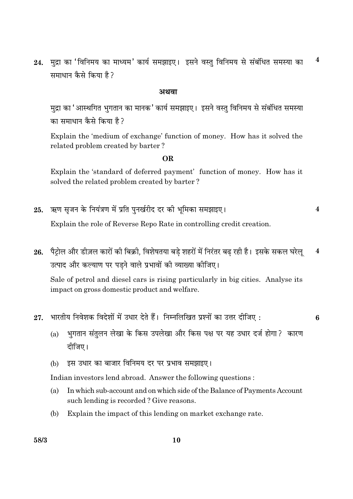मुद्रा का 'विनिमय का माध्यम' कार्य समझाइए। इसने वस्तु विनिमय से संबंधित समस्या का  $\overline{\mathbf{4}}$ 24. समाधान कैसे किया है?

#### अथवा

मुद्रा का 'आस्थगित भुगतान का मानक' कार्य समझाइए। इसने वस्तु विनिमय से संबंधित समस्या का समाधान कैसे किया है ?

Explain the 'medium of exchange' function of money. How has it solved the related problem created by barter?

#### **OR**

Explain the 'standard of deferred payment' function of money. How has it solved the related problem created by barter?

 $\overline{\mathbf{4}}$ 

6

- ऋण सृजन के नियंत्रण में प्रति पुनर्खरीद दर की भूमिका समझाइए। 25. Explain the role of Reverse Repo Rate in controlling credit creation.
- 26. पैट्रोल और डीज़ल कारों की बिक्री, विशेषतया बडे शहरों में निरंतर बढ रही है। इसके सकल घरेल्  $\overline{\mathbf{4}}$ उत्पाद और कल्याण पर पड़ने वाले प्रभावों की व्याख्या कीजिए।

Sale of petrol and diesel cars is rising particularly in big cities. Analyse its impact on gross domestic product and welfare.

- भारतीय निवेशक विदेशों में उधार देते हैं। निम्नलिखित प्रश्नों का उत्तर दीजिए: 27.
	- भुगतान संतुलन लेखा के किस उपलेखा और किस पक्ष पर यह उधार दर्ज होगा ? कारण  $(a)$ दीजिए।
	- इस उधार का बाजार विनिमय दर पर प्रभाव समझाइए।  $(b)$

Indian investors lend abroad. Answer the following questions:

- (a) In which sub-account and on which side of the Balance of Payments Account such lending is recorded? Give reasons.
- (b) Explain the impact of this lending on market exchange rate.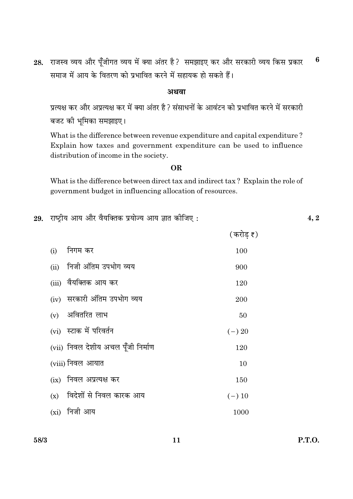राजस्व व्यय और पूँजीगत व्यय में क्या अंतर है? समझाइए कर और सरकारी व्यय किस प्रकार 6 28. समाज में आय के वितरण को प्रभावित करने में सहायक हो सकते हैं।

#### अथवा

प्रत्यक्ष कर और अप्रत्यक्ष कर में क्या अंतर है ? संसाधनों के आवंटन को प्रभावित करने में सरकारी बजट की भूमिका समझाइए।

What is the difference between revenue expenditure and capital expenditure? Explain how taxes and government expenditure can be used to influence distribution of income in the society.

#### **OR**

What is the difference between direct tax and indirect tax? Explain the role of government budget in influencing allocation of resources.

29. राष्ट्रीय आय और वैयक्तिक प्रयोज्य आय ज्ञात कीजिए:

|     |                                    | (करोड ₹) |
|-----|------------------------------------|----------|
| (i) | निगम कर                            | 100      |
|     | (ii) निजी अंतिम उपभोग व्यय         | 900      |
|     | (iii) वैयक्तिक आय कर               | 120      |
|     | (iv) सरकारी अंतिम उपभोग व्यय       | 200      |
|     | (v) अवितरित लाभ                    | 50       |
|     | (vi) स्टाक में परिवर्तन            | $(-) 20$ |
|     | (vii) निवल देशीय अचल पूँजी निर्माण | 120      |
|     | (viii) निवल आयात                   | 10       |
|     | (ix) निवल अप्रत्यक्ष कर            | 150      |
|     | $(x)$ विदेशों से निवल कारक आय      | $(-) 10$ |
|     | (xi) निजी आय                       | 1000     |

**P.T.O.** 

 $4, 2$